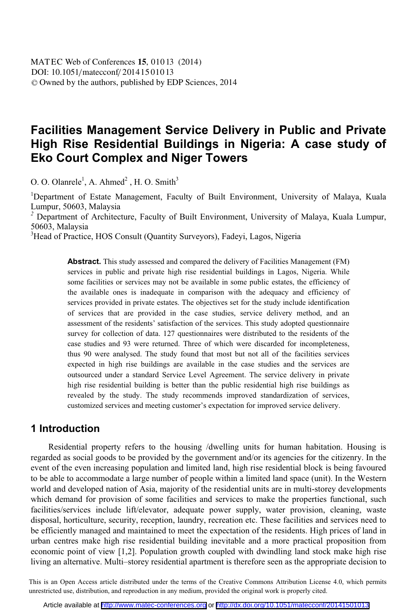# **Facilities Management Service Delivery in Public and Private High Rise Residential Buildings in Nigeria: A case study of Eko Court Complex and Niger Towers**

O. O. Olanrele<sup>1</sup>, A. Ahmed<sup>2</sup>, H. O. Smith<sup>3</sup>

<sup>1</sup>Department of Estate Management, Faculty of Built Environment, University of Malaya, Kuala Lumpur, 50603, Malaysia *<sup>2</sup>* Department of Architecture, Faculty of Built Environment, University of Malaya, Kuala Lumpur, 50603, Malaysia

<sup>3</sup>Head of Practice, HOS Consult (Quantity Surveyors), Fadeyi, Lagos, Nigeria

**Abstract.** This study assessed and compared the delivery of Facilities Management (FM) services in public and private high rise residential buildings in Lagos, Nigeria. While some facilities or services may not be available in some public estates, the efficiency of the available ones is inadequate in comparison with the adequacy and efficiency of services provided in private estates. The objectives set for the study include identification of services that are provided in the case studies, service delivery method, and an assessment of the residents' satisfaction of the services. This study adopted questionnaire survey for collection of data. 127 questionnaires were distributed to the residents of the case studies and 93 were returned. Three of which were discarded for incompleteness, thus 90 were analysed. The study found that most but not all of the facilities services expected in high rise buildings are available in the case studies and the services are outsourced under a standard Service Level Agreement. The service delivery in private high rise residential building is better than the public residential high rise buildings as revealed by the study. The study recommends improved standardization of services, customized services and meeting customer's expectation for improved service delivery.

## **1 Introduction**

 Residential property refers to the housing /dwelling units for human habitation. Housing is regarded as social goods to be provided by the government and/or its agencies for the citizenry. In the event of the even increasing population and limited land, high rise residential block is being favoured to be able to accommodate a large number of people within a limited land space (unit). In the Western world and developed nation of Asia, majority of the residential units are in multi-storey developments which demand for provision of some facilities and services to make the properties functional, such facilities/services include lift/elevator, adequate power supply, water provision, cleaning, waste disposal, horticulture, security, reception, laundry, recreation etc. These facilities and services need to be efficiently managed and maintained to meet the expectation of the residents. High prices of land in urban centres make high rise residential building inevitable and a more practical proposition from economic point of view [1,2]. Population growth coupled with dwindling land stock make high rise living an alternative. Multi–storey residential apartment is therefore seen as the appropriate decision to

This is an Open Access article distributed under the terms of the Creative Commons Attribution License 4.0, which permits unrestricted use, distribution, and reproduction in any medium, provided the original work is properly cited.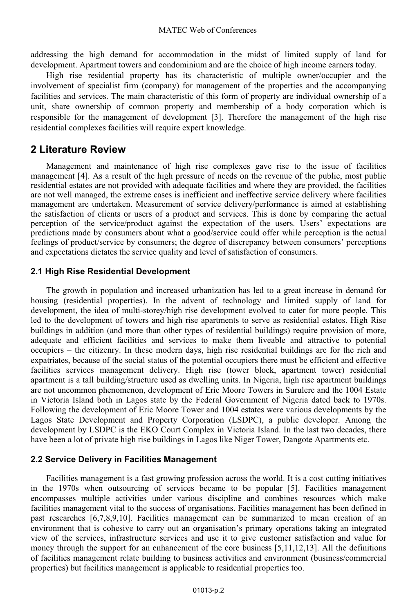addressing the high demand for accommodation in the midst of limited supply of land for development. Apartment towers and condominium and are the choice of high income earners today.

High rise residential property has its characteristic of multiple owner/occupier and the involvement of specialist firm (company) for management of the properties and the accompanying facilities and services. The main characteristic of this form of property are individual ownership of a unit, share ownership of common property and membership of a body corporation which is responsible for the management of development [3]. Therefore the management of the high rise residential complexes facilities will require expert knowledge.

## **2 Literature Review**

Management and maintenance of high rise complexes gave rise to the issue of facilities management [4]. As a result of the high pressure of needs on the revenue of the public, most public residential estates are not provided with adequate facilities and where they are provided, the facilities are not well managed, the extreme cases is inefficient and ineffective service delivery where facilities management are undertaken. Measurement of service delivery/performance is aimed at establishing the satisfaction of clients or users of a product and services. This is done by comparing the actual perception of the service/product against the expectation of the users. Users' expectations are predictions made by consumers about what a good/service could offer while perception is the actual feelings of product/service by consumers; the degree of discrepancy between consumers' perceptions and expectations dictates the service quality and level of satisfaction of consumers.

## **2.1 High Rise Residential Development**

The growth in population and increased urbanization has led to a great increase in demand for housing (residential properties). In the advent of technology and limited supply of land for development, the idea of multi-storey/high rise development evolved to cater for more people. This led to the development of towers and high rise apartments to serve as residential estates. High Rise buildings in addition (and more than other types of residential buildings) require provision of more, adequate and efficient facilities and services to make them liveable and attractive to potential occupiers – the citizenry. In these modern days, high rise residential buildings are for the rich and expatriates, because of the social status of the potential occupiers there must be efficient and effective facilities services management delivery. High rise (tower block, apartment tower) residential apartment is a tall building/structure used as dwelling units. In Nigeria, high rise apartment buildings are not uncommon phenomenon, development of Eric Moore Towers in Surulere and the 1004 Estate in Victoria Island both in Lagos state by the Federal Government of Nigeria dated back to 1970s. Following the development of Eric Moore Tower and 1004 estates were various developments by the Lagos State Development and Property Corporation (LSDPC), a public developer. Among the development by LSDPC is the EKO Court Complex in Victoria Island. In the last two decades, there have been a lot of private high rise buildings in Lagos like Niger Tower, Dangote Apartments etc.

## **2.2 Service Delivery in Facilities Management**

Facilities management is a fast growing profession across the world. It is a cost cutting initiatives in the 1970s when outsourcing of services became to be popular [5]. Facilities management encompasses multiple activities under various discipline and combines resources which make facilities management vital to the success of organisations. Facilities management has been defined in past researches [6,7,8,9,10]. Facilities management can be summarized to mean creation of an environment that is cohesive to carry out an organisation's primary operations taking an integrated view of the services, infrastructure services and use it to give customer satisfaction and value for money through the support for an enhancement of the core business [5,11,12,13]. All the definitions of facilities management relate building to business activities and environment (business/commercial properties) but facilities management is applicable to residential properties too.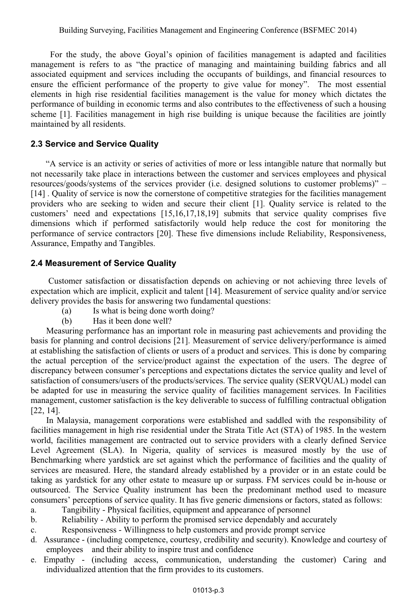For the study, the above Goyal's opinion of facilities management is adapted and facilities management is refers to as "the practice of managing and maintaining building fabrics and all associated equipment and services including the occupants of buildings, and financial resources to ensure the efficient performance of the property to give value for money". The most essential elements in high rise residential facilities management is the value for money which dictates the performance of building in economic terms and also contributes to the effectiveness of such a housing scheme [1]. Facilities management in high rise building is unique because the facilities are jointly maintained by all residents.

## **2.3 Service and Service Quality**

 "A service is an activity or series of activities of more or less intangible nature that normally but not necessarily take place in interactions between the customer and services employees and physical resources/goods/systems of the services provider (i.e. designed solutions to customer problems)" – [14] . Quality of service is now the cornerstone of competitive strategies for the facilities management providers who are seeking to widen and secure their client [1]. Quality service is related to the customers' need and expectations [15,16,17,18,19] submits that service quality comprises five dimensions which if performed satisfactorily would help reduce the cost for monitoring the performance of service contractors [20]. These five dimensions include Reliability, Responsiveness, Assurance, Empathy and Tangibles.

## **2.4 Measurement of Service Quality**

Customer satisfaction or dissatisfaction depends on achieving or not achieving three levels of expectation which are implicit, explicit and talent [14]. Measurement of service quality and/or service delivery provides the basis for answering two fundamental questions:

- (a) Is what is being done worth doing?
- (b) Has it been done well?

Measuring performance has an important role in measuring past achievements and providing the basis for planning and control decisions [21]. Measurement of service delivery/performance is aimed at establishing the satisfaction of clients or users of a product and services. This is done by comparing the actual perception of the service/product against the expectation of the users. The degree of discrepancy between consumer's perceptions and expectations dictates the service quality and level of satisfaction of consumers/users of the products/services. The service quality (SERVQUAL) model can be adapted for use in measuring the service quality of facilities management services. In Facilities management, customer satisfaction is the key deliverable to success of fulfilling contractual obligation [22, 14].

In Malaysia, management corporations were established and saddled with the responsibility of facilities management in high rise residential under the Strata Title Act (STA) of 1985. In the western world, facilities management are contracted out to service providers with a clearly defined Service Level Agreement (SLA). In Nigeria, quality of services is measured mostly by the use of Benchmarking where yardstick are set against which the performance of facilities and the quality of services are measured. Here, the standard already established by a provider or in an estate could be taking as yardstick for any other estate to measure up or surpass. FM services could be in-house or outsourced. The Service Quality instrument has been the predominant method used to measure consumers' perceptions of service quality. It has five generic dimensions or factors, stated as follows:

- a. Tangibility Physical facilities, equipment and appearance of personnel
- b. Reliability Ability to perform the promised service dependably and accurately
- c. Responsiveness Willingness to help customers and provide prompt service
- d. Assurance (including competence, courtesy, credibility and security). Knowledge and courtesy of employees and their ability to inspire trust and confidence
- e. Empathy (including access, communication, understanding the customer) Caring and individualized attention that the firm provides to its customers.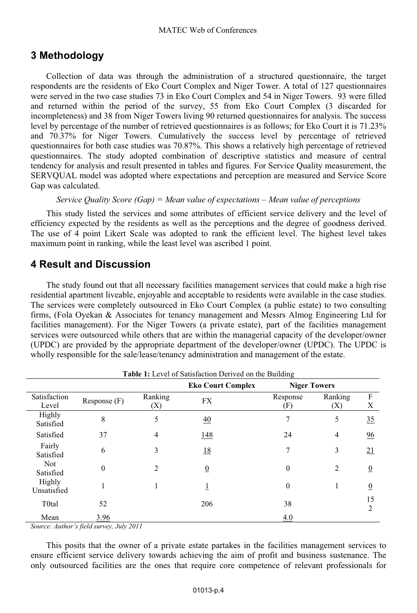## **3 Methodology**

Collection of data was through the administration of a structured questionnaire, the target respondents are the residents of Eko Court Complex and Niger Tower. A total of 127 questionnaires were served in the two case studies 73 in Eko Court Complex and 54 in Niger Towers. 93 were filled and returned within the period of the survey, 55 from Eko Court Complex (3 discarded for incompleteness) and 38 from Niger Towers living 90 returned questionnaires for analysis. The success level by percentage of the number of retrieved questionnaires is as follows; for Eko Court it is 71.23% and 70.37% for Niger Towers. Cumulatively the success level by percentage of retrieved questionnaires for both case studies was 70.87%. This shows a relatively high percentage of retrieved questionnaires. The study adopted combination of descriptive statistics and measure of central tendency for analysis and result presented in tables and figures. For Service Quality measurement, the SERVQUAL model was adopted where expectations and perception are measured and Service Score Gap was calculated.

#### *Service Quality Score (Gap) = Mean value of expectations – Mean value of perceptions*

This study listed the services and some attributes of efficient service delivery and the level of efficiency expected by the residents as well as the perceptions and the degree of goodness derived. The use of 4 point Likert Scale was adopted to rank the efficient level. The highest level takes maximum point in ranking, while the least level was ascribed 1 point.

## **4 Result and Discussion**

The study found out that all necessary facilities management services that could make a high rise residential apartment liveable, enjoyable and acceptable to residents were available in the case studies. The services were completely outsourced in Eko Court Complex (a public estate) to two consulting firms, (Fola Oyekan & Associates for tenancy management and Messrs Almog Engineering Ltd for facilities management). For the Niger Towers (a private estate), part of the facilities management services were outsourced while others that are within the managerial capacity of the developer/owner (UPDC) are provided by the appropriate department of the developer/owner (UPDC). The UPDC is wholly responsible for the sale/lease/tenancy administration and management of the estate.

| 0                     |                |                |                          |                     |                |                      |  |  |  |
|-----------------------|----------------|----------------|--------------------------|---------------------|----------------|----------------------|--|--|--|
|                       |                |                | <b>Eko Court Complex</b> | <b>Niger Towers</b> |                |                      |  |  |  |
| Satisfaction<br>Level | Response $(F)$ | Ranking<br>(X) | <b>FX</b>                | Response<br>(F)     | Ranking<br>(X) | F<br>X               |  |  |  |
| Highly<br>Satisfied   | 8              | 5              | $\underline{40}$         | 7                   | 5              | 35                   |  |  |  |
| Satisfied             | 37             | 4              | 148                      | 24                  | $\overline{4}$ | $\frac{96}{9}$       |  |  |  |
| Fairly<br>Satisfied   | 6              | 3              | <u>18</u>                | 7                   | 3              | 21                   |  |  |  |
| Not<br>Satisfied      | 0              | $\mathfrak{D}$ | $\overline{0}$           | $\theta$            | 2              | $\overline{0}$       |  |  |  |
| Highly<br>Unsatisfied |                |                | T,                       | $\mathbf{0}$        |                | $\overline{0}$       |  |  |  |
| T0tal                 | 52             |                | 206                      | 38                  |                | 15<br>$\overline{2}$ |  |  |  |
| Mean                  | 3.96           |                |                          | 4.0                 |                |                      |  |  |  |

**Table 1:** Level of Satisfaction Derived on the Building

*Source: Author's field survey, July 2011* 

This posits that the owner of a private estate partakes in the facilities management services to ensure efficient service delivery towards achieving the aim of profit and business sustenance. The only outsourced facilities are the ones that require core competence of relevant professionals for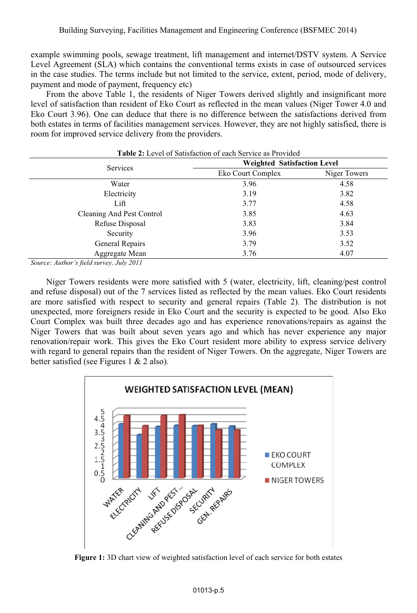example swimming pools, sewage treatment, lift management and internet/DSTV system. A Service Level Agreement (SLA) which contains the conventional terms exists in case of outsourced services in the case studies. The terms include but not limited to the service, extent, period, mode of delivery, payment and mode of payment, frequency etc)

From the above Table 1, the residents of Niger Towers derived slightly and insignificant more level of satisfaction than resident of Eko Court as reflected in the mean values (Niger Tower 4.0 and Eko Court 3.96). One can deduce that there is no difference between the satisfactions derived from both estates in terms of facilities management services. However, they are not highly satisfied, there is room for improved service delivery from the providers.

| Services<br>Water<br>Electricity<br>Lift<br>Cleaning And Pest Control<br>Refuse Disposal<br>Security | <b>Weighted Satisfaction Level</b> |              |  |  |
|------------------------------------------------------------------------------------------------------|------------------------------------|--------------|--|--|
|                                                                                                      | Eko Court Complex                  | Niger Towers |  |  |
|                                                                                                      | 3.96                               | 4.58         |  |  |
|                                                                                                      | 3.19                               | 3.82         |  |  |
|                                                                                                      | 3.77                               | 4.58         |  |  |
|                                                                                                      | 3.85                               | 4.63         |  |  |
|                                                                                                      | 3.83                               | 3.84         |  |  |
|                                                                                                      | 3.96                               | 3.53         |  |  |
| General Repairs                                                                                      | 3.79                               | 3.52         |  |  |
| Aggregate Mean                                                                                       | 3.76                               | 4.07         |  |  |

*Source: Author's field survey, July 2011* 

Niger Towers residents were more satisfied with 5 (water, electricity, lift, cleaning/pest control and refuse disposal) out of the 7 services listed as reflected by the mean values. Eko Court residents are more satisfied with respect to security and general repairs (Table 2). The distribution is not unexpected, more foreigners reside in Eko Court and the security is expected to be good. Also Eko Court Complex was built three decades ago and has experience renovations/repairs as against the Niger Towers that was built about seven years ago and which has never experience any major renovation/repair work. This gives the Eko Court resident more ability to express service delivery with regard to general repairs than the resident of Niger Towers. On the aggregate, Niger Towers are better satisfied (see Figures 1 & 2 also).



**Figure 1:** 3D chart view of weighted satisfaction level of each service for both estates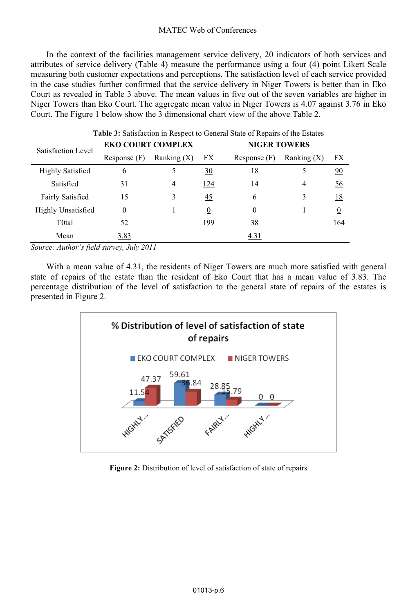#### MATEC Web of Conferences

In the context of the facilities management service delivery, 20 indicators of both services and attributes of service delivery (Table 4) measure the performance using a four (4) point Likert Scale measuring both customer expectations and perceptions. The satisfaction level of each service provided in the case studies further confirmed that the service delivery in Niger Towers is better than in Eko Court as revealed in Table 3 above. The mean values in five out of the seven variables are higher in Niger Towers than Eko Court. The aggregate mean value in Niger Towers is 4.07 against 3.76 in Eko Court. The Figure 1 below show the 3 dimensional chart view of the above Table 2.

| Table 3: Satisfaction in Respect to General State of Repairs of the Estates |                          |               |                 |                     |               |                |  |  |  |
|-----------------------------------------------------------------------------|--------------------------|---------------|-----------------|---------------------|---------------|----------------|--|--|--|
| Satisfaction Level                                                          | <b>EKO COURT COMPLEX</b> |               |                 | <b>NIGER TOWERS</b> |               |                |  |  |  |
| Response(F)                                                                 |                          | Ranking $(X)$ | FX              | Response $(F)$      | Ranking $(X)$ | <b>FX</b>      |  |  |  |
| <b>Highly Satisfied</b>                                                     | 6                        | 5             | $\overline{30}$ | 18                  | 5             | 90             |  |  |  |
| Satisfied                                                                   | 31                       | 4             | 124             | 14                  | 4             | <u>56</u>      |  |  |  |
| <b>Fairly Satisfied</b>                                                     | 15                       | 3             | 45              | 6                   | 3             | <u>18</u>      |  |  |  |
| Highly Unsatisfied                                                          | $\theta$                 |               | 0               | $\theta$            |               | $\overline{0}$ |  |  |  |
| T <sub>0</sub> tal                                                          | 52                       |               | 199             | 38                  |               | 164            |  |  |  |
| Mean                                                                        | 3.83                     |               |                 | 4.31                |               |                |  |  |  |

*Source: Author's field survey, July 2011* 

With a mean value of 4.31, the residents of Niger Towers are much more satisfied with general state of repairs of the estate than the resident of Eko Court that has a mean value of 3.83. The percentage distribution of the level of satisfaction to the general state of repairs of the estates is presented in Figure 2.



**Figure 2:** Distribution of level of satisfaction of state of repairs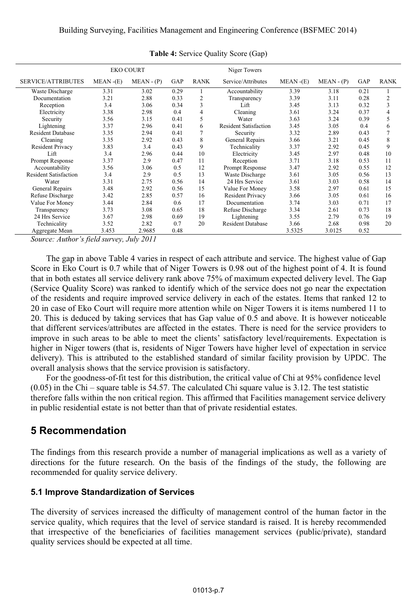| <b>EKO COURT</b>             |              |              |      | Niger Towers   |                              |              |              |      |                |
|------------------------------|--------------|--------------|------|----------------|------------------------------|--------------|--------------|------|----------------|
| <b>SERVICE/ATTRIBUTES</b>    | $MEAN - (E)$ | $MEAN - (P)$ | GAP  | <b>RANK</b>    | Service/Attributes           | $MEAN - (E)$ | $MEAN - (P)$ | GAP  | <b>RANK</b>    |
| Waste Discharge              | 3.31         | 3.02         | 0.29 |                | Accountability               | 3.39         | 3.18         | 0.21 |                |
| Documentation                | 3.21         | 2.88         | 0.33 | 2              | Transparency                 | 3.39         | 3.11         | 0.28 | $\overline{c}$ |
| Reception                    | 3.4          | 3.06         | 0.34 | 3              | Lift                         | 3.45         | 3.13         | 0.32 | 3              |
| Electricity                  | 3.38         | 2.98         | 0.4  | $\overline{4}$ | Cleaning                     | 3.61         | 3.24         | 0.37 | $\overline{4}$ |
| Security                     | 3.56         | 3.15         | 0.41 | 5              | Water                        | 3.63         | 3.24         | 0.39 | 5              |
| Lightening                   | 3.37         | 2.96         | 0.41 | 6              | <b>Resident Satisfaction</b> | 3.45         | 3.05         | 0.4  | 6              |
| <b>Resident Database</b>     | 3.35         | 2.94         | 0.41 | 7              | Security                     | 3.32         | 2.89         | 0.43 | $\overline{7}$ |
| Cleaning                     | 3.35         | 2.92         | 0.43 | 8              | General Repairs              | 3.66         | 3.21         | 0.45 | 8              |
| <b>Resident Privacy</b>      | 3.83         | 3.4          | 0.43 | 9              | Technicality                 | 3.37         | 2.92         | 0.45 | 9              |
| Lift                         | 3.4          | 2.96         | 0.44 | 10             | Electricity                  | 3.45         | 2.97         | 0.48 | 10             |
| <b>Prompt Response</b>       | 3.37         | 2.9          | 0.47 | 11             | Reception                    | 3.71         | 3.18         | 0.53 | 11             |
| Accountability               | 3.56         | 3.06         | 0.5  | 12             | Prompt Response              | 3.47         | 2.92         | 0.55 | 12             |
| <b>Resident Satisfaction</b> | 3.4          | 2.9          | 0.5  | 13             | Waste Discharge              | 3.61         | 3.05         | 0.56 | 13             |
| Water                        | 3.31         | 2.75         | 0.56 | 14             | 24 Hrs Service               | 3.61         | 3.03         | 0.58 | 14             |
| General Repairs              | 3.48         | 2.92         | 0.56 | 15             | Value For Monev              | 3.58         | 2.97         | 0.61 | 15             |
| Refuse Discharge             | 3.42         | 2.85         | 0.57 | 16             | <b>Resident Privacy</b>      | 3.66         | 3.05         | 0.61 | 16             |
| Value For Money              | 3.44         | 2.84         | 0.6  | 17             | Documentation                | 3.74         | 3.03         | 0.71 | 17             |
| Transparency                 | 3.73         | 3.08         | 0.65 | 18             | Refuse Discharge             | 3.34         | 2.61         | 0.73 | 18             |
| 24 Hrs Service               | 3.67         | 2.98         | 0.69 | 19             | Lightening                   | 3.55         | 2.79         | 0.76 | 19             |
| Technicality                 | 3.52         | 2.82         | 0.7  | 20             | <b>Resident Database</b>     | 3.66         | 2.68         | 0.98 | 20             |
| Aggregate Mean               | 3.453        | 2.9685       | 0.48 |                |                              | 3.5325       | 3.0125       | 0.52 |                |

**Table 4:** Service Quality Score (Gap)

*Source: Author's field survey, July 2011* 

The gap in above Table 4 varies in respect of each attribute and service. The highest value of Gap Score in Eko Court is 0.7 while that of Niger Towers is 0.98 out of the highest point of 4. It is found that in both estates all service delivery rank above 75% of maximum expected delivery level. The Gap (Service Quality Score) was ranked to identify which of the service does not go near the expectation of the residents and require improved service delivery in each of the estates. Items that ranked 12 to 20 in case of Eko Court will require more attention while on Niger Towers it is items numbered 11 to 20. This is deduced by taking services that has Gap value of 0.5 and above. It is however noticeable that different services/attributes are affected in the estates. There is need for the service providers to improve in such areas to be able to meet the clients' satisfactory level/requirements. Expectation is higher in Niger towers (that is, residents of Niger Towers have higher level of expectation in service delivery). This is attributed to the established standard of similar facility provision by UPDC. The overall analysis shows that the service provision is satisfactory.

For the goodness-of-fit test for this distribution, the critical value of Chi at 95% confidence level  $(0.05)$  in the Chi – square table is 54.57. The calculated Chi square value is 3.12. The test statistic therefore falls within the non critical region. This affirmed that Facilities management service delivery in public residential estate is not better than that of private residential estates.

## **5 Recommendation**

The findings from this research provide a number of managerial implications as well as a variety of directions for the future research. On the basis of the findings of the study, the following are recommended for quality service delivery.

## **5.1 Improve Standardization of Services**

The diversity of services increased the difficulty of management control of the human factor in the service quality, which requires that the level of service standard is raised. It is hereby recommended that irrespective of the beneficiaries of facilities management services (public/private), standard quality services should be expected at all time.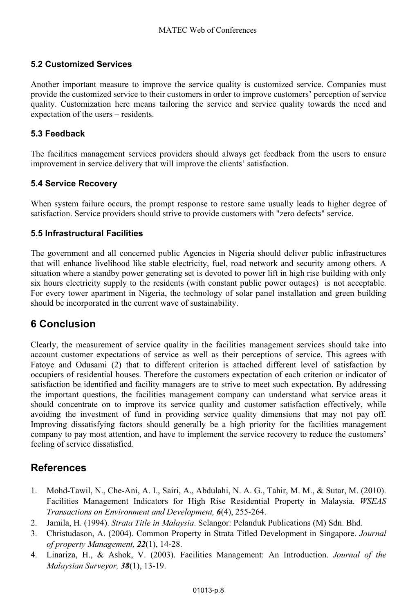## **5.2 Customized Services**

Another important measure to improve the service quality is customized service. Companies must provide the customized service to their customers in order to improve customers' perception of service quality. Customization here means tailoring the service and service quality towards the need and expectation of the users – residents.

### **5.3 Feedback**

The facilities management services providers should always get feedback from the users to ensure improvement in service delivery that will improve the clients' satisfaction.

### **5.4 Service Recovery**

When system failure occurs, the prompt response to restore same usually leads to higher degree of satisfaction. Service providers should strive to provide customers with "zero defects" service.

### **5.5 Infrastructural Facilities**

The government and all concerned public Agencies in Nigeria should deliver public infrastructures that will enhance livelihood like stable electricity, fuel, road network and security among others. A situation where a standby power generating set is devoted to power lift in high rise building with only six hours electricity supply to the residents (with constant public power outages) is not acceptable. For every tower apartment in Nigeria, the technology of solar panel installation and green building should be incorporated in the current wave of sustainability.

## **6 Conclusion**

Clearly, the measurement of service quality in the facilities management services should take into account customer expectations of service as well as their perceptions of service. This agrees with Fatoye and Odusami (2) that to different criterion is attached different level of satisfaction by occupiers of residential houses. Therefore the customers expectation of each criterion or indicator of satisfaction be identified and facility managers are to strive to meet such expectation. By addressing the important questions, the facilities management company can understand what service areas it should concentrate on to improve its service quality and customer satisfaction effectively, while avoiding the investment of fund in providing service quality dimensions that may not pay off. Improving dissatisfying factors should generally be a high priority for the facilities management company to pay most attention, and have to implement the service recovery to reduce the customers' feeling of service dissatisfied.

## **References**

- 1. Mohd-Tawil, N., Che-Ani, A. I., Sairi, A., Abdulahi, N. A. G., Tahir, M. M., & Sutar, M. (2010). Facilities Management Indicators for High Rise Residential Property in Malaysia. *WSEAS Transactions on Environment and Development, 6*(4), 255-264.
- 2. Jamila, H. (1994). *Strata Title in Malaysia*. Selangor: Pelanduk Publications (M) Sdn. Bhd.
- 3. Christudason, A. (2004). Common Property in Strata Titled Development in Singapore. *Journal of property Management, 22*(1), 14-28.
- 4. Linariza, H., & Ashok, V. (2003). Facilities Management: An Introduction. *Journal of the Malaysian Surveyor, 38*(1), 13-19.